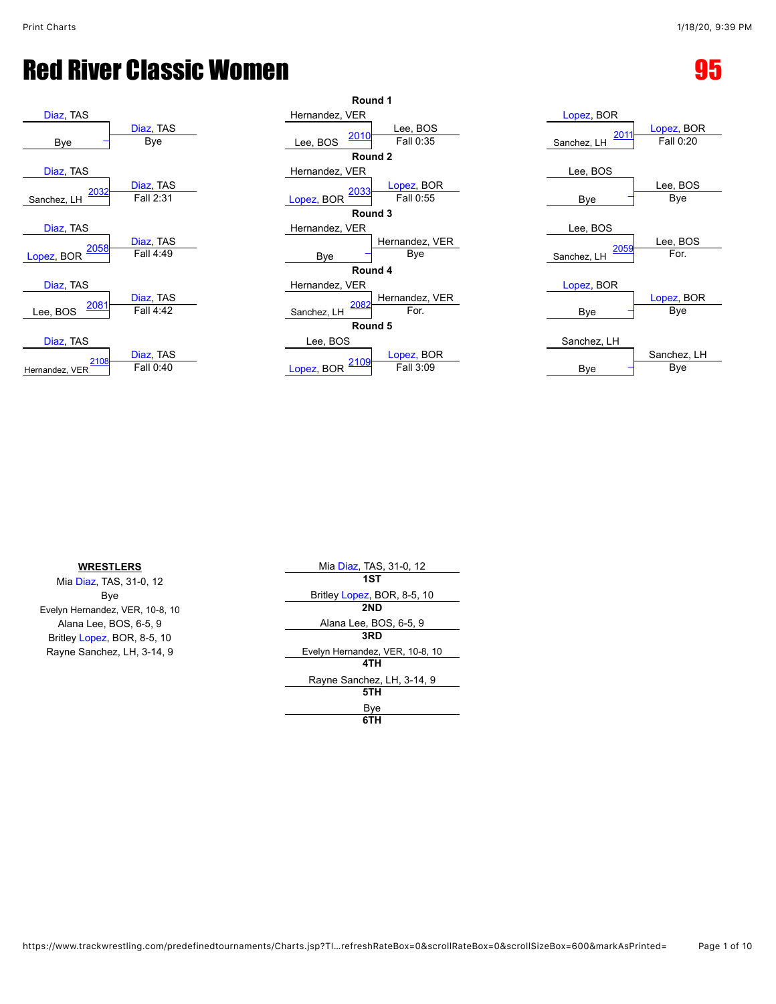| Diaz, TAS                |                        | Hernandez, VER             |
|--------------------------|------------------------|----------------------------|
| Bye                      | Diaz, TAS<br>Bye       | 2010<br>Lee, BOS           |
|                          |                        | Rou                        |
| Diaz, TAS                |                        | Hernandez, VER             |
| 2032<br>Sanchez, LH      | Diaz, TAS<br>Fall 2:31 | <u> 2033</u><br>Lopez, BOR |
|                          |                        | Rou                        |
| Diaz, TAS                |                        | Hernandez, VER             |
| 2058                     | Diaz, TAS              |                            |
| Lopez, BOR               | Fall 4:49              | Bye                        |
|                          |                        | Rou                        |
| Diaz, TAS                |                        | Hernandez, VER             |
| <u> 2081</u><br>Lee, BOS | Diaz, TAS<br>Fall 4:42 | 2082<br>Sanchez, LH        |
|                          |                        | Rou                        |
| Diaz, TAS                |                        | Lee, BOS                   |
| 2108<br>Hernandez, VER   | Diaz, TAS<br>Fall 0:40 | <u> 2109</u><br>Lopez, BOR |
|                          |                        |                            |

|                         | Round 1                                       |                     |                        |
|-------------------------|-----------------------------------------------|---------------------|------------------------|
|                         | Hernandez, VER                                | Lopez, BOR          |                        |
| Diaz, TAS<br><b>Bye</b> | Lee, BOS<br>2010<br>Fall 0:35<br>Lee, BOS     | 2011<br>Sanchez, LH | Lopez, BO<br>Fall 0:20 |
|                         | Round 2                                       |                     |                        |
|                         | Hernandez, VER                                | Lee, BOS            |                        |
| Diaz, TAS<br>Fall 2:31  | Lopez, BOR<br>2033<br>Fall 0:55<br>Lopez, BOR | Bye                 | Lee, BOS<br>Bye        |
|                         | Round 3                                       |                     |                        |
|                         | Hernandez, VER                                | Lee, BOS            |                        |
| Diaz, TAS               | Hernandez, VER                                | 2059                | Lee, BOS               |
| Fall 4:49               | Bye<br>Bye                                    | Sanchez, LH         | For.                   |
|                         | Round 4                                       |                     |                        |
|                         | Hernandez, VER                                | Lopez, BOR          |                        |
| Diaz, TAS               | Hernandez, VER<br>2082                        |                     | Lopez, BO              |
| Fall 4:42               | For.<br>Sanchez, LH                           | Bye                 | Bye                    |
|                         | Round 5                                       |                     |                        |
|                         | Lee, BOS                                      | Sanchez, LH         |                        |
| Diaz, TAS               | Lopez, BOR                                    |                     | Sanchez, L             |
| Fall 0:40               | 2109<br>Fall 3:09<br>Lopez, BOR               | Bye                 | Bye                    |
|                         |                                               |                     |                        |

| Lopez, BOR          | Lopez, BOR  |
|---------------------|-------------|
| 2011<br>Sanchez, LH | Fall 0:20   |
| Lee, BOS            |             |
|                     | Lee, BOS    |
| Bye                 | Bye         |
|                     |             |
| Lee, BOS            |             |
|                     | Lee, BOS    |
| 2059<br>Sanchez, LH | For         |
|                     |             |
| Lopez, BOR          |             |
|                     | Lopez, BOR  |
| Bye                 | Bye         |
|                     |             |
| Sanchez, LH         |             |
|                     | Sanchez, LH |
| Bve                 | Bye         |

| <b>WRESTLERS</b>                | Mia Diaz, TAS, 31-0, 12         |
|---------------------------------|---------------------------------|
| Mia Diaz, TAS, 31-0, 12         | 1ST                             |
| Bye                             | Britley Lopez, BOR, 8-5, 10     |
| Evelyn Hernandez, VER, 10-8, 10 | 2ND                             |
| Alana Lee, BOS, 6-5, 9          | Alana Lee, BOS, 6-5, 9          |
| Britley Lopez, BOR, 8-5, 10     | 3RD                             |
| Rayne Sanchez, LH, 3-14, 9      | Evelyn Hernandez, VER, 10-8, 10 |
|                                 | 4TH                             |
|                                 | Rayne Sanchez, LH, 3-14, 9      |
|                                 | 5TH                             |
|                                 | Bye                             |
|                                 | 6TH                             |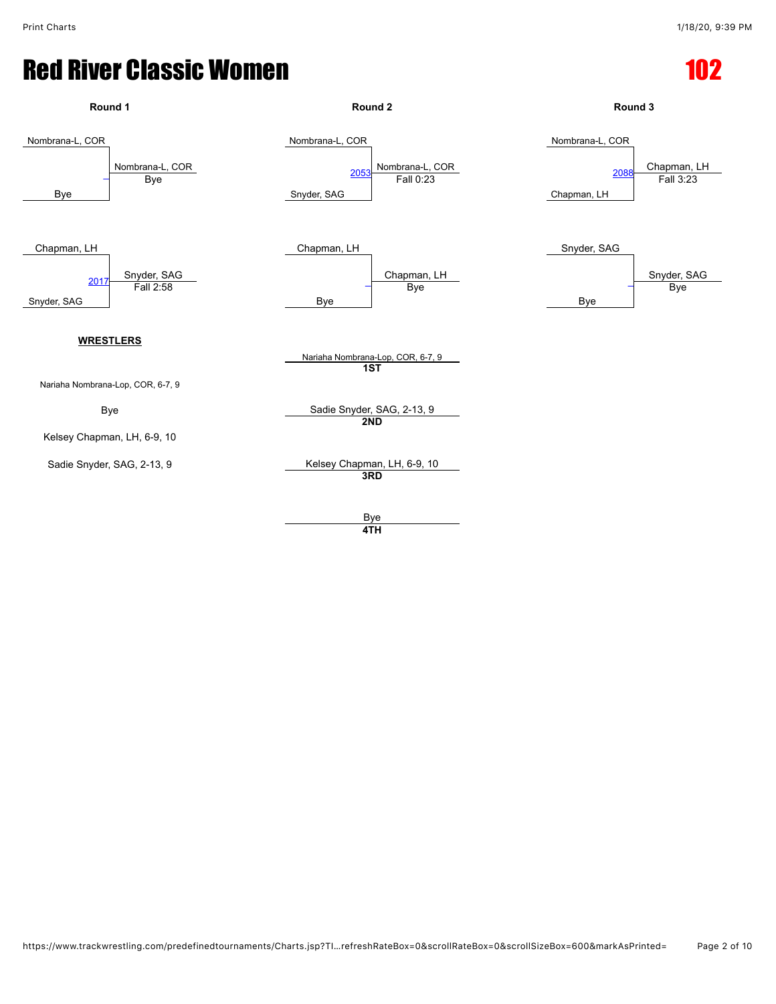| Round 1                                                        | Round <sub>2</sub>                                                     | Round 3                                                            |
|----------------------------------------------------------------|------------------------------------------------------------------------|--------------------------------------------------------------------|
| Nombrana-L, COR<br>Nombrana-L, COR<br><b>Bye</b><br><b>Bye</b> | Nombrana-L, COR<br>Nombrana-L, COR<br>Fall 0:23<br>2053<br>Snyder, SAG | Nombrana-L, COR<br>Chapman, LH<br>2088<br>Fall 3:23<br>Chapman, LH |
| Chapman, LH<br>Snyder, SAG<br>Fall 2:58<br>2017<br>Snyder, SAG | Chapman, LH<br>Chapman, LH<br>Bye<br><b>Bye</b>                        | Snyder, SAG<br>Snyder, SAG<br><b>Bye</b><br><b>Bye</b>             |
| <b>WRESTLERS</b><br>Nariaha Nombrana-Lop, COR, 6-7, 9          | Nariaha Nombrana-Lop, COR, 6-7, 9<br>$\overline{1ST}$                  |                                                                    |
| <b>Bye</b>                                                     | Sadie Snyder, SAG, 2-13, 9                                             |                                                                    |
| Kelsey Chapman, LH, 6-9, 10                                    | 2ND                                                                    |                                                                    |
| Sadie Snyder, SAG, 2-13, 9                                     | Kelsey Chapman, LH, 6-9, 10<br>3RD                                     |                                                                    |
|                                                                | <b>Bye</b><br>4TH                                                      |                                                                    |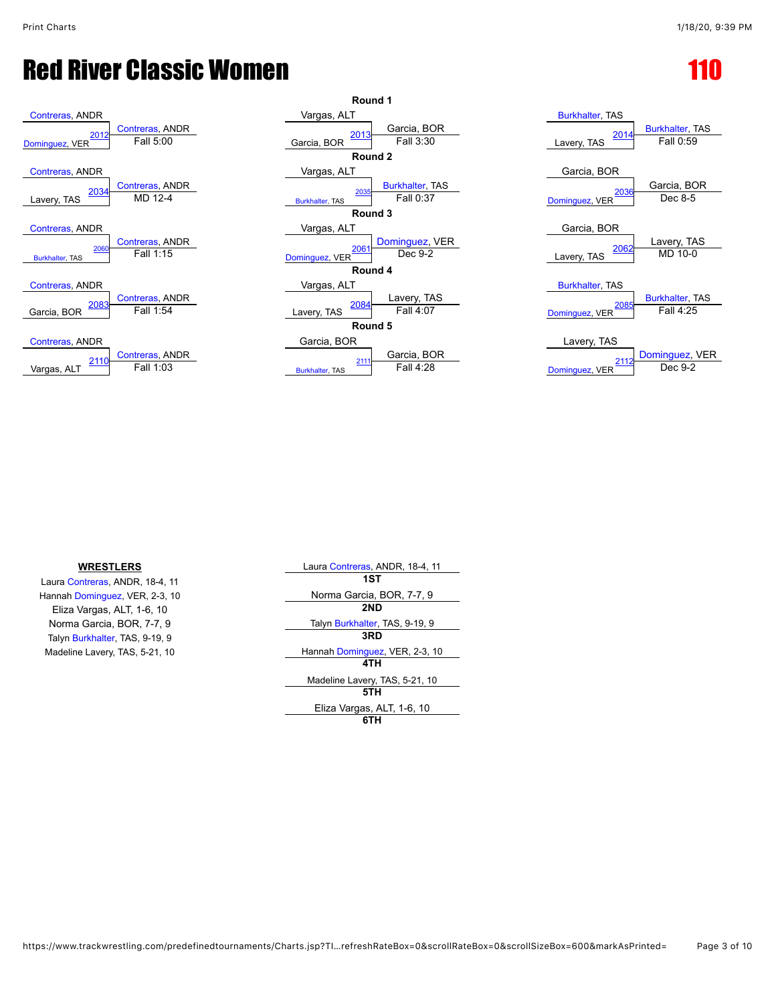| <b>Contreras, ANDR</b> |                        |
|------------------------|------------------------|
| 2012                   | <b>Contreras, ANDR</b> |
| Dominguez, VER         | Fall 5:00              |
| Contreras, ANDR        |                        |
| 2034                   | Contreras, ANDR        |
| Lavery, TAS            | MD 12-4                |
| <b>Contreras, ANDR</b> |                        |
| 2060                   | <b>Contreras, ANDR</b> |
| <b>Burkhalter, TAS</b> | Fall 1:15              |
| <b>Contreras, ANDR</b> |                        |
| <u> 2083</u>           | Contreras, ANDR        |
| Garcia, BOR            | Fall 1:54              |
| Contreras, ANDR        |                        |
| 2110                   | <b>Contreras, ANDR</b> |
| Vargas, ALT            | Fall 1:03              |



| <b>Burkhalter, TAS</b><br>2014<br>Lavery, TAS    | <b>Burkhalter, TAS</b><br>Fall 0:59   |
|--------------------------------------------------|---------------------------------------|
| Garcia, BOR<br>2036<br>Dominguez, VER            | Garcia, BOR<br>Dec 8-5                |
| Garcia, BOR<br>2062<br>Lavery, TAS               | Lavery, TAS<br>MD 10-0                |
| <b>Burkhalter, TAS</b><br>2085<br>Dominguez, VER | <b>Burkhalter, TAS</b><br>Fall $4.25$ |
| Lavery, TAS<br>2112<br>Dominguez, VER            | Dominguez, VER<br>Dec 9-2             |

#### **WRESTLERS**

Laura [Contreras,](javascript:viewProfile(684135)) ANDR, 18-4, 11 Hannah [Dominguez](javascript:viewProfile(1010785009)), VER, 2-3, 10 Eliza Vargas, ALT, 1-6, 10 Norma Garcia, BOR, 7-7, 9 Talyn [Burkhalter,](javascript:viewProfile(1010670009)) TAS, 9-19, 9 Madeline Lavery, TAS, 5-21, 10

| Laura Contreras, ANDR, 18-4, 11 |  |  |
|---------------------------------|--|--|
| 1ST                             |  |  |
| Norma Garcia, BOR, 7-7, 9       |  |  |
| 2ND                             |  |  |
| Talyn Burkhalter, TAS, 9-19, 9  |  |  |
| 3RD                             |  |  |
| Hannah Dominguez, VER, 2-3, 10  |  |  |
| 4TH                             |  |  |
| Madeline Lavery, TAS, 5-21, 10  |  |  |
| 5TH                             |  |  |
| Eliza Vargas, ALT, 1-6, 10      |  |  |
|                                 |  |  |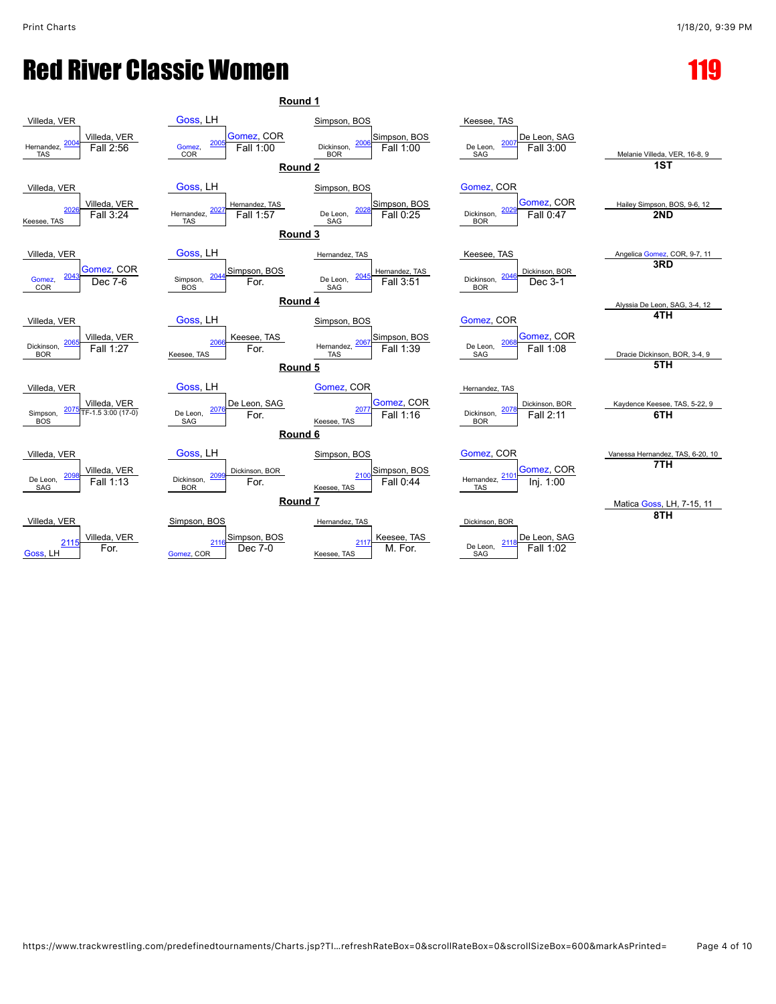| Round 1                                                             |                                                                         |                                                              |                                                                |                                         |
|---------------------------------------------------------------------|-------------------------------------------------------------------------|--------------------------------------------------------------|----------------------------------------------------------------|-----------------------------------------|
| Villeda, VER                                                        | Goss, LH                                                                | Simpson, BOS                                                 | Keesee, TAS                                                    |                                         |
| Villeda, VER<br>200<br>Fall 2:56<br>Hernandez,<br>TAS               | Gomez, COR<br>200<br>Gomez,<br>Fall 1:00<br><b>COR</b>                  | Simpson, BOS<br>200<br>Dickinson,<br>Fall 1:00<br><b>BOR</b> | De Leon, SAG<br>200<br>De Leon,<br>Fall 3:00<br><b>SAG</b>     | Melanie Villeda, VER, 16-8, 9           |
|                                                                     | Round <sub>2</sub>                                                      |                                                              |                                                                | $\overline{1ST}$                        |
| Villeda, VER                                                        | Goss, LH                                                                | Simpson, BOS                                                 | Gomez, COR                                                     |                                         |
| Villeda, VER<br>202<br>Fall 3:24<br>Keesee, TAS                     | Hernandez, TAS<br>Fall 1:57<br>Hernandez, $\frac{202}{7}$<br><b>TAS</b> | Simpson, BOS<br>202<br>Fall 0:25<br>De Leon,<br><b>SAG</b>   | Gomez, COR<br>202<br>Fall 0:47<br>Dickinson,<br><b>BOR</b>     | Hailey Simpson, BOS, 9-6, 12<br>2ND     |
|                                                                     | Round 3                                                                 |                                                              |                                                                |                                         |
| Villeda, VER                                                        | Goss, LH                                                                | Hernandez, TAS                                               | Keesee, TAS                                                    | Angelica Gomez, COR, 9-7, 11<br>3RD     |
| Gomez, COR<br>204<br>$Dec 7-6$<br>Gomez,<br>COR                     | Simpson, BOS<br>204<br>Simpson,<br>For.<br><b>BOS</b>                   | Hemandez, TAS<br>Fall 3:51<br>De Leon,<br>SAG                | Dickinson, BOR<br>204<br>Dickinson,<br>Dec 3-1<br><b>BOR</b>   |                                         |
|                                                                     | Round 4                                                                 |                                                              |                                                                | Alyssia De Leon, SAG, 3-4, 12           |
| Villeda, VER                                                        | Goss, LH                                                                | Simpson, BOS                                                 | Gomez, COR                                                     | 4TH                                     |
| Villeda, VER<br>206<br>Fall 1:27<br>Dickinson,<br><b>BOR</b>        | Keesee, TAS<br>206<br>For.<br>Keesee, TAS                               | Simpson, BOS<br>Fall 1:39<br>206<br>Hernandez,<br><b>TAS</b> | Gomez, COR<br>206<br>Fall 1:08<br>De Leon,<br>SAG              | Dracie Dickinson, BOR, 3-4, 9<br>5TH    |
|                                                                     | Round 5                                                                 |                                                              |                                                                |                                         |
| Villeda, VER                                                        | Goss, LH                                                                | Gomez, COR                                                   | Hernandez, TAS                                                 |                                         |
| Villeda, VER<br>207<br>TF-1.5 3:00 (17-0)<br>Simpson,<br><b>BOS</b> | De Leon, SAG<br>207<br>De Leon.<br>For.<br>SAG                          | Gomez, COR<br>207<br>Fall 1:16<br>Keesee, TAS                | Dickinson, BOR<br>207<br>Dickinson,<br>Fall 2:11<br><b>BOR</b> | Kaydence Keesee, TAS, 5-22, 9<br>6TH    |
|                                                                     | Round <sub>6</sub>                                                      |                                                              |                                                                |                                         |
| Villeda, VER                                                        | Goss, LH                                                                | Simpson, BOS                                                 | Gomez, COR                                                     | Vanessa Hernandez, TAS, 6-20, 10<br>7TH |
| Villeda, VER<br>209<br>De Leon,<br>Fall 1:13<br>SAG                 | Dickinson, BOR<br>209<br>Dickinson,<br>For.<br><b>BOR</b>               | Simpson, BOS<br>Fall 0:44<br>Keesee, TAS                     | Gomez, COR<br>210<br>Hernandez,<br>Inj. 1:00<br><b>TAS</b>     |                                         |
|                                                                     | Round <sub>7</sub>                                                      |                                                              |                                                                | Matica Goss, LH, 7-15, 11               |
| Villeda, VER                                                        | Simpson, BOS                                                            | Hernandez, TAS                                               | Dickinson, BOR                                                 | 8TH                                     |
| Villeda, VER<br>2115<br>For.<br>Goss, LH                            | Simpson, BOS<br>211<br>Dec 7-0<br>Gomez, COR                            | Keesee, TAS<br>211<br>M. For.<br>Keesee, TAS                 | De Leon, SAG<br>211<br>De Leon.<br>Fall 1:02<br>SAG            |                                         |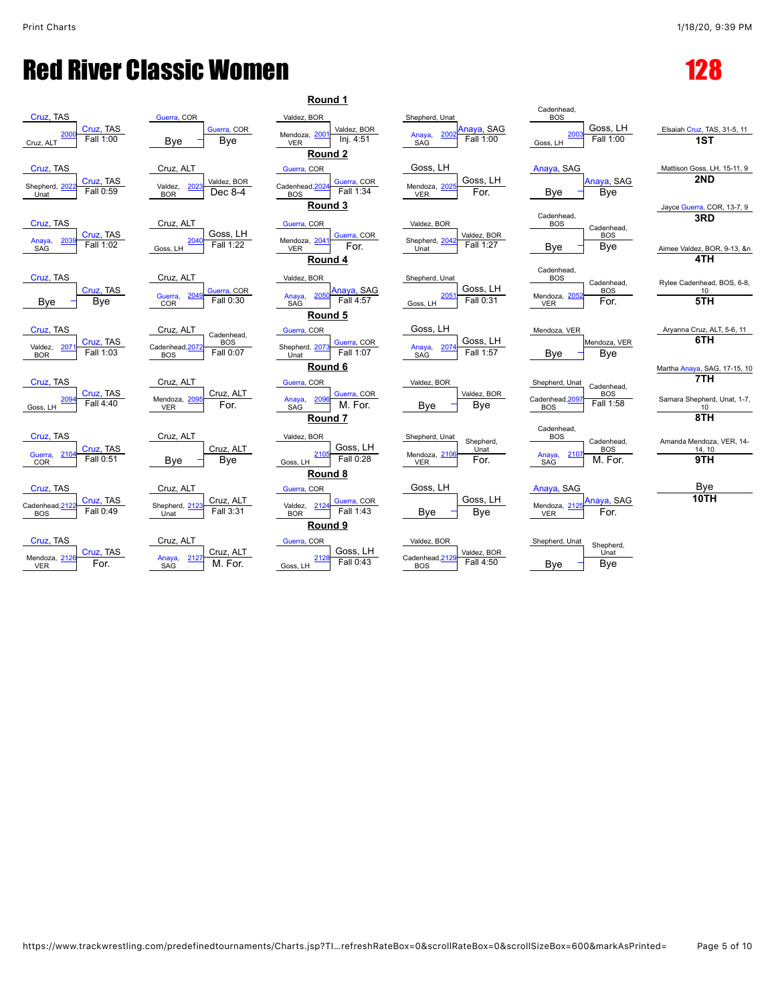

|                                                    | Cadenhead,                                                                                             |                                                                                                                                      |
|----------------------------------------------------|--------------------------------------------------------------------------------------------------------|--------------------------------------------------------------------------------------------------------------------------------------|
| Anaya, SAG<br>200<br>Anaya,<br>Fall 1:00<br>SAG    | Goss, LH<br>2003<br>Fall 1:00                                                                          | Elsaiah Cruz, TA<br>1ST                                                                                                              |
|                                                    |                                                                                                        |                                                                                                                                      |
| Goss, LH                                           | Anaya, SAG                                                                                             | Mattison Goss, L                                                                                                                     |
| Goss, LH<br>Mendoza, 202<br>For.<br>VER            | Anaya, SAG<br>Bye<br>Bye                                                                               | 2ND                                                                                                                                  |
|                                                    |                                                                                                        | Jayce Guerra, CO                                                                                                                     |
| Valdez, BOR                                        | Cadenhead,<br><b>BOS</b><br>Cadenhead.                                                                 | 3RD                                                                                                                                  |
| Valdez, BOR<br>Shepherd, 2042<br>Fall 1:27<br>Unat | <b>BOS</b><br>Bye<br><b>Bye</b>                                                                        | Aimee Valdez, BC                                                                                                                     |
|                                                    |                                                                                                        | 4TH                                                                                                                                  |
| Shepherd, Unat                                     | Cadenhead,<br><b>BOS</b>                                                                               | Rylee Cadenhead                                                                                                                      |
| Goss, LH<br>2051<br>Fall 0:31<br>Goss, LH          | <b>BOS</b><br>Mendoza, 2052<br>For.<br>VER                                                             | 10<br>5TH                                                                                                                            |
|                                                    |                                                                                                        |                                                                                                                                      |
| Goss, LH                                           | Mendoza, VER                                                                                           | Aryanna Cruz, A                                                                                                                      |
| 2074<br>Anaya,<br>Fall 1:57<br>SAG                 | Mendoza, VER<br>Bye<br>Bye                                                                             | 6TH                                                                                                                                  |
|                                                    |                                                                                                        | Martha Anaya, SA                                                                                                                     |
| Valdez, BOR                                        | Shepherd, Unat<br>Cadenhead,                                                                           | 7ТН                                                                                                                                  |
| Bye<br>Bye                                         | Cadenhead, 2097<br>Fall 1:58<br><b>BOS</b>                                                             | Samara Shephero<br>10                                                                                                                |
|                                                    |                                                                                                        | 8TH                                                                                                                                  |
| Shepherd, Unat                                     | <b>BOS</b>                                                                                             | Amanda Mendoz                                                                                                                        |
| Unat<br>Mendoza, 2106                              | <b>BOS</b><br>2107<br>Anaya,                                                                           | 14, 10<br>9TH                                                                                                                        |
|                                                    |                                                                                                        |                                                                                                                                      |
|                                                    |                                                                                                        | Bye                                                                                                                                  |
| Goss, LH                                           | Anaya, SAG<br>Mendoza, 2125                                                                            | <b>10TH</b>                                                                                                                          |
|                                                    |                                                                                                        |                                                                                                                                      |
|                                                    | Shepherd, Unat<br>Goss, LH<br>Valdez, BOR<br>Shepherd,<br>For.<br><b>VER</b><br>Goss, LH<br>Bye<br>Bye | <b>BOS</b><br>Goss, LH<br>Cadenhead.<br><b>BOS</b><br>Cadenhead,<br>Cadenhead,<br>M. For.<br><b>SAG</b><br>Anaya, SAG<br>For.<br>VER |

[Guerra](javascript:viewProfile(943789132)), COR

Goss, LH

Goss, LH

 $\frac{2128}{\text{Fall } 0.43}$  $\frac{2128}{\text{Fall } 0.43}$  $\frac{2128}{\text{Fall } 0.43}$ 

| ound 1        |                          |                                    |                          |                                           |                                  |                              |
|---------------|--------------------------|------------------------------------|--------------------------|-------------------------------------------|----------------------------------|------------------------------|
| ЭR            |                          | Shepherd, Unat                     |                          | Cadenhead.<br><b>BOS</b>                  |                                  |                              |
| $200^{\circ}$ | Valdez, BOR<br>Inj. 4:51 | 2002<br>Anaya,<br><b>SAG</b>       | Anaya, SAG<br>Fall 1:00  | 2003<br>Goss, LH                          | Goss, LH<br>Fall 1:00            | Elsaiah Cruz, TA<br>1ST      |
| ound 2        |                          |                                    |                          |                                           |                                  |                              |
| ОR            |                          | Goss, LH                           |                          | Anaya, SAG                                |                                  | Mattison Goss, L             |
| 2024          | Guerra, COR<br>Fall 1:34 | Mendoza, 2025<br><b>VER</b>        | Goss, LH<br>For.         | Bye                                       | Anaya, SAG<br>Bye                | 2ND                          |
| ound 3        |                          |                                    |                          |                                           |                                  | Jayce Guerra, CO             |
| ОR            |                          | Valdez, BOR                        |                          | Cadenhead.<br><b>BOS</b>                  | Cadenhead,<br><b>BOS</b>         | 3RD                          |
| $204^{\circ}$ | Guerra, COR<br>For.      | Shepherd, 2042<br>Unat             | Valdez, BOR<br>Fall 1:27 | Bye                                       | Bye                              | Aimee Valdez, BC<br>4TH      |
| ound 4        |                          |                                    |                          | Cadenhead,                                |                                  |                              |
| ЭR<br>2050    | Anaya, SAG<br>Fall 4:57  | Shepherd, Unat<br>2051<br>Goss, LH | Goss, LH<br>Fall 0:31    | <b>BOS</b><br>Mendoza, 2052<br><b>VER</b> | Cadenhead,<br><b>BOS</b><br>For. | Rylee Cadenhead<br>10<br>5TH |
| ound 5        |                          |                                    |                          |                                           |                                  |                              |
| ОR            |                          | Goss, LH                           |                          | Mendoza, VER                              |                                  | Aryanna Cruz, A              |
| 207:          | Guerra, COR<br>Fall 1:07 | 2074<br>Anaya,<br>SAG              | Goss, LH<br>Fall 1:57    | Bye                                       | Mendoza, VER<br>Bye              | 6TH                          |
| ound 6        |                          |                                    |                          |                                           |                                  | Martha Anaya, SA             |
| ОR            |                          | Valdez, BOR                        |                          | Shepherd, Unat                            | Cadenhead.                       | 7TH                          |
| 2096          | Guerra, COR<br>M. For.   | Bye                                | Valdez, BOR<br>Bye       | Cadenhead, 2097<br><b>BOS</b>             | <b>BOS</b><br>Fall 1:58          | Samara Shepherd<br>10        |
| ound 7        |                          |                                    |                          |                                           |                                  | 8TH                          |
| ЭR            | Goss, LH                 | Shepherd, Unat                     | Shepherd,<br>Unat        | Cadenhead.<br><b>BOS</b>                  | Cadenhead.<br><b>BOS</b>         | Amanda Mendoza<br>14, 10     |
| 2105          | Fall 0:28                | Mendoza, 2106<br><b>VER</b>        | For.                     | 2107<br>Anaya,<br><b>SAG</b>              | M. For.                          | 9TH                          |

| Valdez, BOR             |             |
|-------------------------|-------------|
|                         | Valdez, BOR |
| Cadenhead, 2129<br>ROS. | Fall 4:50   |

| Cadenhead,<br><b>ROS</b> |      |           |
|--------------------------|------|-----------|
|                          | 2003 | Goss, LH  |
| Goss, LH                 |      | Fall 1:00 |

Shepherd, Unat Shepherd,

Elsaiah [Cruz,](javascript:viewProfile(665589132)) TAS, 31-5, 11

Jayce [Guerra,](javascript:viewProfile(943789132)) COR, 13-7, 9 **3RD**

Rylee Cadenhead, BOS, 6-8,  $^{100}$ 

**Round 6** Martha [Anaya,](javascript:viewProfile(144510135)) SAG, 17-15, 10 **7TH**

Cadenhead, [2097](javascript:openBoutSheet(30,) **Fall 1:58** Samara Shepherd, Unat, 1-7,

Amanda Mendoza, VER, 14-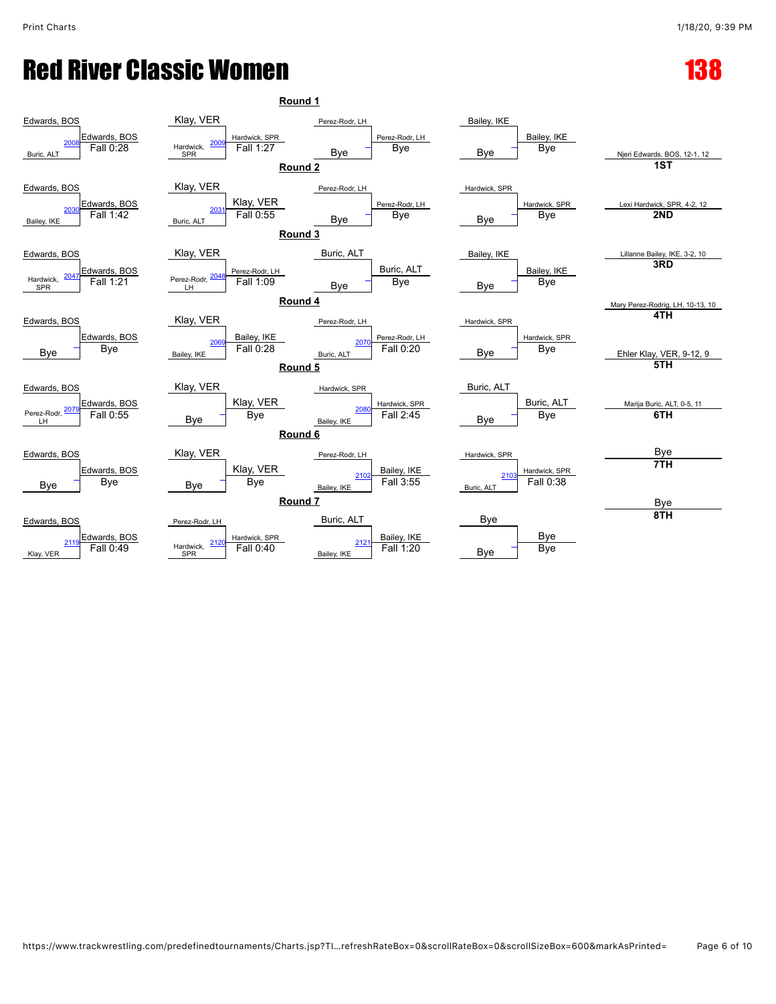| Round 1                                                      |                                                                             |                                                    |                                  |                                     |
|--------------------------------------------------------------|-----------------------------------------------------------------------------|----------------------------------------------------|----------------------------------|-------------------------------------|
| Edwards, BOS                                                 | Klay, VER                                                                   | Perez-Rodr, LH                                     | Bailey, IKE                      |                                     |
| Edwards, BOS<br>200<br>Fall 0:28<br>Buric, ALT               | Hardwick, SPR<br>200<br>Hardwick,<br>Fall 1:27<br>SPR<br>Round <sub>2</sub> | Perez-Rodr, LH<br><b>Bye</b><br>Bye                | Bailey, IKE<br><b>Bye</b><br>Bye | Njeri Edwards, BOS, 12-1, 12<br>1ST |
| Edwards, BOS<br>Edwards, BOS                                 | Klay, VER<br>Klay, VER                                                      | Perez-Rodr, LH<br>Perez-Rodr, LH                   | Hardwick, SPR<br>Hardwick, SPR   | Lexi Hardwick, SPR, 4-2, 12         |
| 203<br>Fall 1:42<br>Bailey, IKE                              | 203<br>Fall 0:55<br>Buric, ALT<br>Round 3                                   | <b>Bye</b><br>Bye                                  | Bye<br>Bye                       | 2ND                                 |
| Edwards, BOS                                                 | Klay, VER                                                                   | Buric, ALT                                         | Bailey, IKE                      | Lillanne Bailey, IKE, 3-2, 10       |
| Edwards, BOS<br>Hardwick,<br>Fall 1:21<br><b>SPR</b>         | Perez-Rodr, LH<br>Perez-Rodr, 204<br>Fall 1:09<br>ΪĤ                        | Buric, ALT<br><b>Bye</b><br>Bye                    | Bailey, IKE<br><b>Bye</b><br>Bye | 3RD                                 |
| Round 4<br>Mary Perez-Rodrig, LH, 10-13, 10                  |                                                                             |                                                    |                                  |                                     |
| Edwards, BOS                                                 | Klay, VER                                                                   | Perez-Rodr, LH                                     | Hardwick, SPR                    | 4TH                                 |
| Edwards, BOS<br>Bye<br>Bye                                   | Bailey, IKE<br>206<br>Fall 0:28<br>Bailey, IKE                              | Perez-Rodr, LH<br>2070<br>Fall 0:20<br>Buric, ALT  | Hardwick, SPR<br>Bye<br>Bye      | Ehler Klay, VER, 9-12, 9<br>5TH     |
|                                                              | Round 5                                                                     |                                                    |                                  |                                     |
| Edwards, BOS<br>Edwards, BOS<br>Perez-Rodr, 207<br>Fall 0:55 | Klay, VER<br>Klay, VER                                                      | Hardwick, SPR<br>Hardwick, SPR<br>208<br>Fall 2:45 | Buric, ALT<br>Buric, ALT         | Marija Buric, ALT, 0-5, 11<br>6TH   |
| LH                                                           | <b>Bye</b><br>Bye<br>Round 6                                                | Bailey, IKE                                        | Bye<br>Bye                       |                                     |
|                                                              | Klay, VER                                                                   |                                                    |                                  | Bye                                 |
| Edwards, BOS<br>Edwards, BOS                                 | Klay, VER                                                                   | Perez-Rodr, LH<br>Bailey, IKE                      | Hardwick, SPR<br>Hardwick, SPR   | 7TH                                 |
| Bye<br>Bye                                                   | <b>Bye</b><br>Bye                                                           | 2102<br>Fall 3:55<br>Bailey, IKE                   | 210<br>Fall 0:38<br>Buric, ALT   |                                     |
| Round <sub>7</sub><br>Bye                                    |                                                                             |                                                    |                                  |                                     |
| Edwards, BOS                                                 | Perez-Rodr, LH                                                              | Buric, ALT                                         | Bye                              | 8TH                                 |
| Edwards, BOS<br>211<br>Fall 0:49<br>Klay, VER                | Hardwick, SPR<br>212<br>Hardwick,<br>Fall 0:40<br>SPR                       | Bailey, IKE<br>2121<br>Fall 1:20<br>Bailey, IKE    | Bye<br>Bye<br>Bye                |                                     |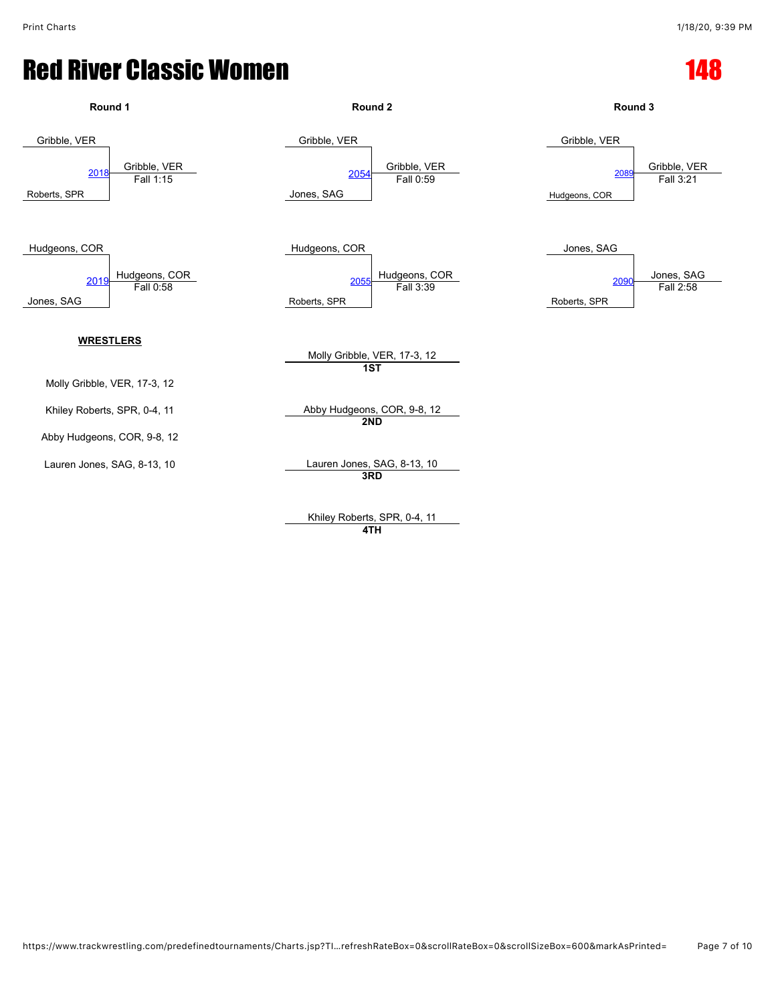

Khiley Roberts, SPR, 0-4, 11 **4TH**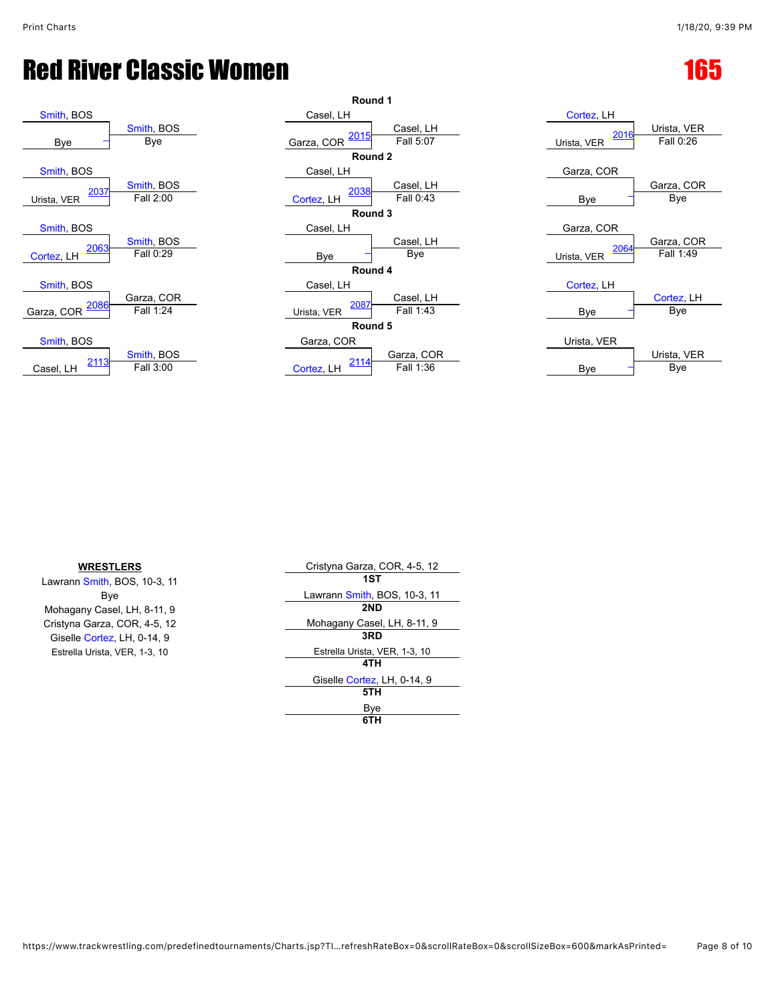| Smith, BOS                 |                         | Casel, LH   |              |
|----------------------------|-------------------------|-------------|--------------|
| Bye                        | Smith, BOS<br>Bye       | Garza, COR  | <u> 2015</u> |
|                            |                         |             | Rou          |
| Smith, BOS                 |                         | Casel, LH   |              |
| 2037<br>Urista, VER        | Smith, BOS<br>Fall 2:00 | Cortez, LH  | <u> 2038</u> |
|                            |                         |             | Rou          |
| Smith, BOS                 |                         | Casel, LH   |              |
| 2063<br>Cortez, LH         | Smith, BOS<br>Fall 0:29 | <b>Bye</b>  |              |
|                            |                         |             | Rou          |
| Smith, BOS                 |                         | Casel, LH   |              |
| <u> 2086</u><br>Garza, COR | Garza, COR<br>Fall 1:24 | Urista, VER | 2087         |
|                            |                         |             | Rou          |
| Smith, BOS                 |                         | Garza, COR  |              |
| 2113<br>Casel, LH          | Smith, BOS<br>Fall 3:00 | Cortez, LH  | 2114         |
|                            |                         |             |              |

| Round 1             |                         |                    |                        |                     |                         |
|---------------------|-------------------------|--------------------|------------------------|---------------------|-------------------------|
| Smith, BOS          |                         | Casel, LH          |                        | Cortez, LH          |                         |
| Bye                 | Smith, BOS<br>Bye       | 2015<br>Garza, COR | Casel, LH<br>Fall 5:07 | 2016<br>Urista, VER | Urista, VE<br>Fall 0:26 |
|                     |                         | Round 2            |                        |                     |                         |
| Smith, BOS          |                         | Casel, LH          |                        | Garza, COR          |                         |
| 2037<br>Jrista, VER | Smith, BOS<br>Fall 2:00 | 2038<br>Cortez, LH | Casel, LH<br>Fall 0:43 | Bye                 | Garza, CC<br>Bye        |
|                     |                         | Round 3            |                        |                     |                         |
| Smith, BOS          |                         | Casel, LH          |                        | Garza, COR          |                         |
| 2063                | Smith, BOS              |                    | Casel, LH              | 2064                | Garza, CC               |
| Cortez, LH          | Fall 0:29               | Bye                | Bye                    | Urista, VER         | Fall 1:49               |
| Round 4             |                         |                    |                        |                     |                         |
| Smith, BOS          |                         | Casel, LH          |                        | Cortez, LH          |                         |
| 2086                | Garza, COR              | 2087               | Casel, LH              |                     | Cortez, Ll              |
| arza, COR           | Fall 1:24               | Urista, VER        | Fall 1:43              | Bye                 | <b>Bye</b>              |
| Round 5             |                         |                    |                        |                     |                         |
| Smith, BOS          |                         | Garza, COR         |                        | Urista, VER         |                         |
| 2113                | Smith, BOS              | 2114               | Garza, COR             |                     | Urista, VE              |
| Casel, LH           | Fall 3:00               | Cortez, LH         | Fall 1:36              | Bye                 | Bye                     |
|                     |                         |                    |                        |                     |                         |

| Cortez, LH          |                          |
|---------------------|--------------------------|
| 2016<br>Urista, VER | Urista, VER<br>Fall 0:26 |
| Garza, COR          |                          |
| Bye                 | Garza, COR<br>Bye        |
| Garza, COR          |                          |
| 2064                | Garza, COR               |
| Urista, VER         | Fall $1.49$              |
| Cortez, LH          | Cortez, LH               |
| Bye                 | Bye                      |
| Urista, VER         | Urista, VER              |
| Bve                 | Bye                      |

| <b>WRESTLERS</b>              | Cristyna Garza, COR, 4-5, 12  |
|-------------------------------|-------------------------------|
| Lawrann Smith, BOS, 10-3, 11  | 1ST                           |
| Bye                           | Lawrann Smith, BOS, 10-3, 11  |
| Mohagany Casel, LH, 8-11, 9   | 2ND                           |
| Cristyna Garza, COR, 4-5, 12  | Mohagany Casel, LH, 8-11, 9   |
| Giselle Cortez, LH, 0-14, 9   | 3RD                           |
| Estrella Urista, VER, 1-3, 10 | Estrella Urista, VER, 1-3, 10 |
|                               | 4TH                           |
|                               | Giselle Cortez, LH, 0-14, 9   |
|                               | 5TH                           |
|                               | Bye                           |
|                               | 6TH                           |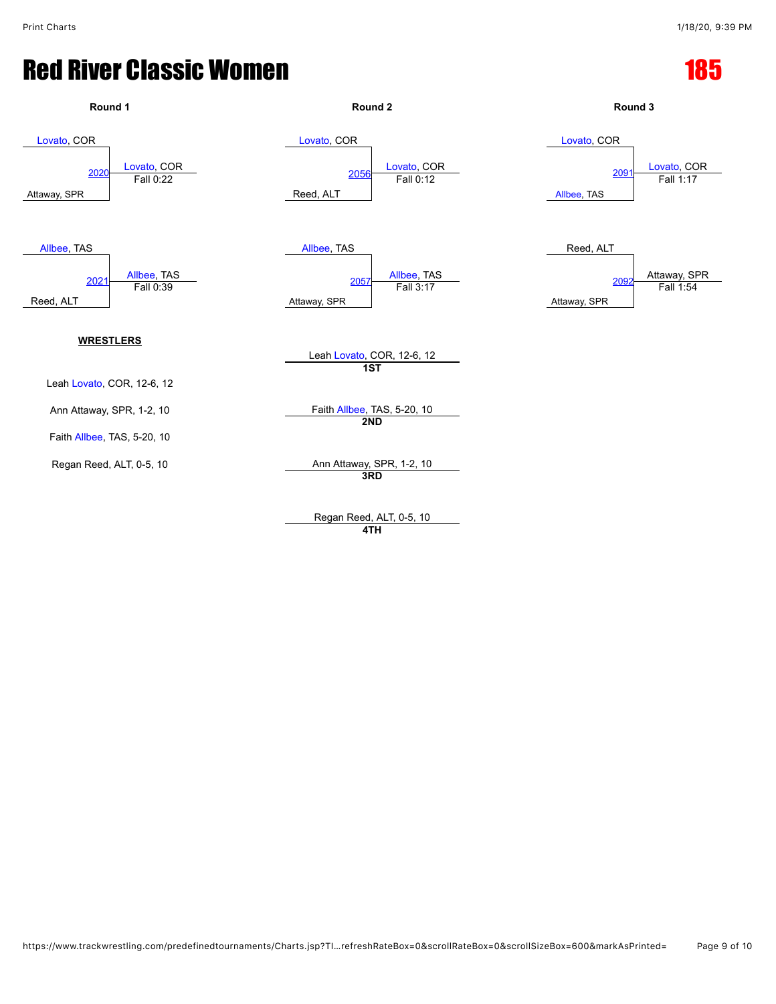

**4TH**

https://www.trackwrestling.com/predefinedtournaments/Charts.jsp?TI…refreshRateBox=0&scrollRateBox=0&scrollSizeBox=600&markAsPrinted= Page 9 of 10